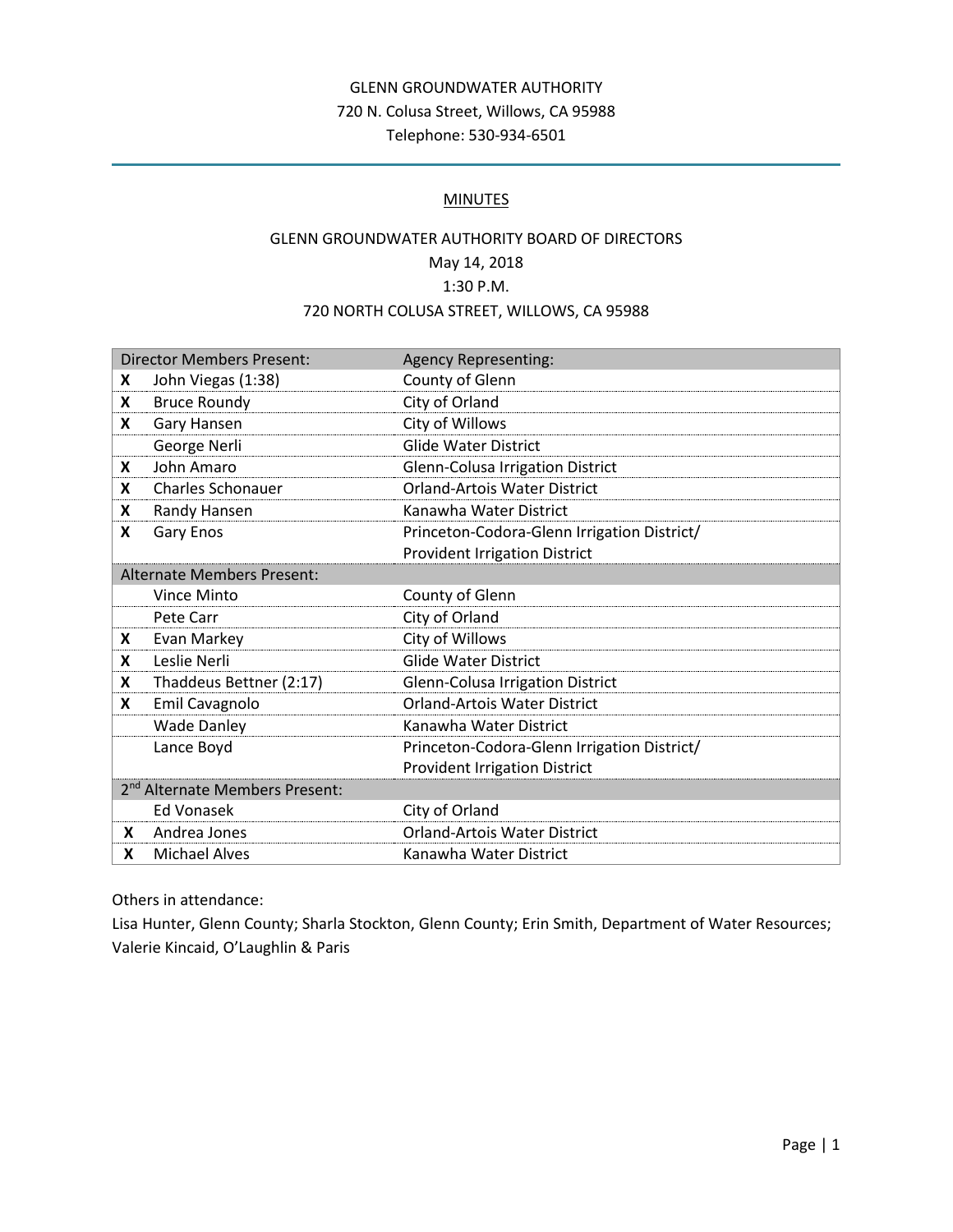# GLENN GROUNDWATER AUTHORITY 720 N. Colusa Street, Willows, CA 95988 Telephone: 530-934-6501

#### **MINUTES**

# GLENN GROUNDWATER AUTHORITY BOARD OF DIRECTORS May 14, 2018 1:30 P.M. 720 NORTH COLUSA STREET, WILLOWS, CA 95988

| <b>Director Members Present:</b>           |                          | <b>Agency Representing:</b>                 |
|--------------------------------------------|--------------------------|---------------------------------------------|
| X                                          | John Viegas (1:38)       | County of Glenn                             |
| X                                          | <b>Bruce Roundy</b>      | City of Orland                              |
| X                                          | Gary Hansen              | City of Willows                             |
|                                            | George Nerli             | <b>Glide Water District</b>                 |
| X                                          | John Amaro               | Glenn-Colusa Irrigation District            |
| X                                          | <b>Charles Schonauer</b> | <b>Orland-Artois Water District</b>         |
| X                                          | Randy Hansen             | Kanawha Water District                      |
| X                                          | Gary Enos                | Princeton-Codora-Glenn Irrigation District/ |
|                                            |                          | <b>Provident Irrigation District</b>        |
| <b>Alternate Members Present:</b>          |                          |                                             |
|                                            | <b>Vince Minto</b>       | County of Glenn                             |
|                                            | Pete Carr                | City of Orland                              |
| X                                          | Evan Markey              | City of Willows                             |
| X                                          | Leslie Nerli             | <b>Glide Water District</b>                 |
| X                                          | Thaddeus Bettner (2:17)  | <b>Glenn-Colusa Irrigation District</b>     |
| X                                          | Emil Cavagnolo           | <b>Orland-Artois Water District</b>         |
|                                            | <b>Wade Danley</b>       | Kanawha Water District                      |
|                                            | Lance Boyd               | Princeton-Codora-Glenn Irrigation District/ |
|                                            |                          | <b>Provident Irrigation District</b>        |
| 2 <sup>nd</sup> Alternate Members Present: |                          |                                             |
|                                            | Ed Vonasek               | City of Orland                              |
| X.                                         | Andrea Jones             | <b>Orland-Artois Water District</b>         |
| X                                          | <b>Michael Alves</b>     | Kanawha Water District                      |

Others in attendance:

Lisa Hunter, Glenn County; Sharla Stockton, Glenn County; Erin Smith, Department of Water Resources; Valerie Kincaid, O'Laughlin & Paris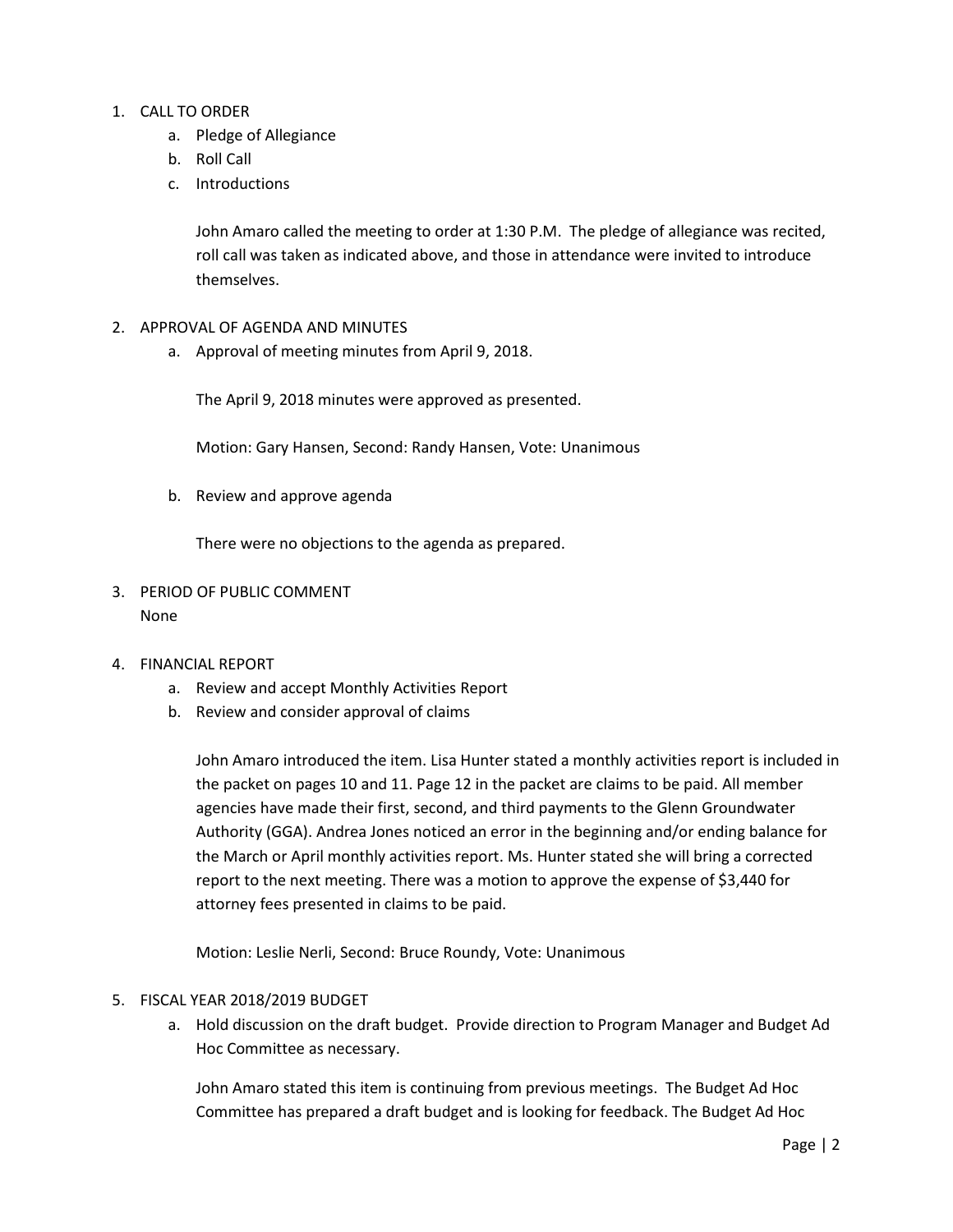## 1. CALL TO ORDER

- a. Pledge of Allegiance
- b. Roll Call
- c. Introductions

John Amaro called the meeting to order at 1:30 P.M. The pledge of allegiance was recited, roll call was taken as indicated above, and those in attendance were invited to introduce themselves.

- 2. APPROVAL OF AGENDA AND MINUTES
	- a. Approval of meeting minutes from April 9, 2018.

The April 9, 2018 minutes were approved as presented.

Motion: Gary Hansen, Second: Randy Hansen, Vote: Unanimous

b. Review and approve agenda

There were no objections to the agenda as prepared.

- 3. PERIOD OF PUBLIC COMMENT None
- 4. FINANCIAL REPORT
	- a. Review and accept Monthly Activities Report
	- b. Review and consider approval of claims

John Amaro introduced the item. Lisa Hunter stated a monthly activities report is included in the packet on pages 10 and 11. Page 12 in the packet are claims to be paid. All member agencies have made their first, second, and third payments to the Glenn Groundwater Authority (GGA). Andrea Jones noticed an error in the beginning and/or ending balance for the March or April monthly activities report. Ms. Hunter stated she will bring a corrected report to the next meeting. There was a motion to approve the expense of \$3,440 for attorney fees presented in claims to be paid.

Motion: Leslie Nerli, Second: Bruce Roundy, Vote: Unanimous

## 5. FISCAL YEAR 2018/2019 BUDGET

a. Hold discussion on the draft budget. Provide direction to Program Manager and Budget Ad Hoc Committee as necessary.

John Amaro stated this item is continuing from previous meetings. The Budget Ad Hoc Committee has prepared a draft budget and is looking for feedback. The Budget Ad Hoc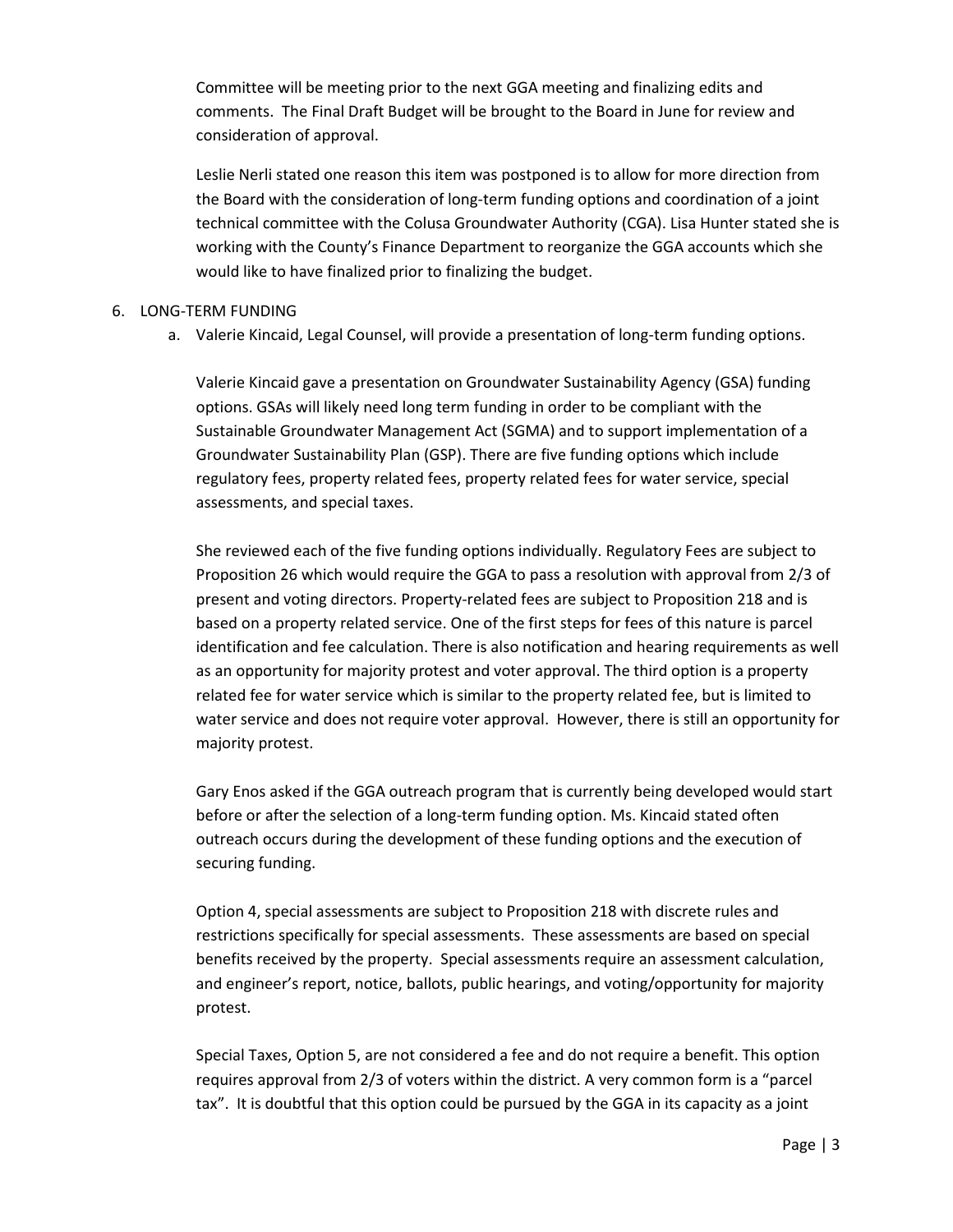Committee will be meeting prior to the next GGA meeting and finalizing edits and comments. The Final Draft Budget will be brought to the Board in June for review and consideration of approval.

Leslie Nerli stated one reason this item was postponed is to allow for more direction from the Board with the consideration of long-term funding options and coordination of a joint technical committee with the Colusa Groundwater Authority (CGA). Lisa Hunter stated she is working with the County's Finance Department to reorganize the GGA accounts which she would like to have finalized prior to finalizing the budget.

### 6. LONG-TERM FUNDING

a. Valerie Kincaid, Legal Counsel, will provide a presentation of long-term funding options.

Valerie Kincaid gave a presentation on Groundwater Sustainability Agency (GSA) funding options. GSAs will likely need long term funding in order to be compliant with the Sustainable Groundwater Management Act (SGMA) and to support implementation of a Groundwater Sustainability Plan (GSP). There are five funding options which include regulatory fees, property related fees, property related fees for water service, special assessments, and special taxes.

She reviewed each of the five funding options individually. Regulatory Fees are subject to Proposition 26 which would require the GGA to pass a resolution with approval from 2/3 of present and voting directors. Property-related fees are subject to Proposition 218 and is based on a property related service. One of the first steps for fees of this nature is parcel identification and fee calculation. There is also notification and hearing requirements as well as an opportunity for majority protest and voter approval. The third option is a property related fee for water service which is similar to the property related fee, but is limited to water service and does not require voter approval. However, there is still an opportunity for majority protest.

Gary Enos asked if the GGA outreach program that is currently being developed would start before or after the selection of a long-term funding option. Ms. Kincaid stated often outreach occurs during the development of these funding options and the execution of securing funding.

Option 4, special assessments are subject to Proposition 218 with discrete rules and restrictions specifically for special assessments. These assessments are based on special benefits received by the property. Special assessments require an assessment calculation, and engineer's report, notice, ballots, public hearings, and voting/opportunity for majority protest.

Special Taxes, Option 5, are not considered a fee and do not require a benefit. This option requires approval from 2/3 of voters within the district. A very common form is a "parcel tax". It is doubtful that this option could be pursued by the GGA in its capacity as a joint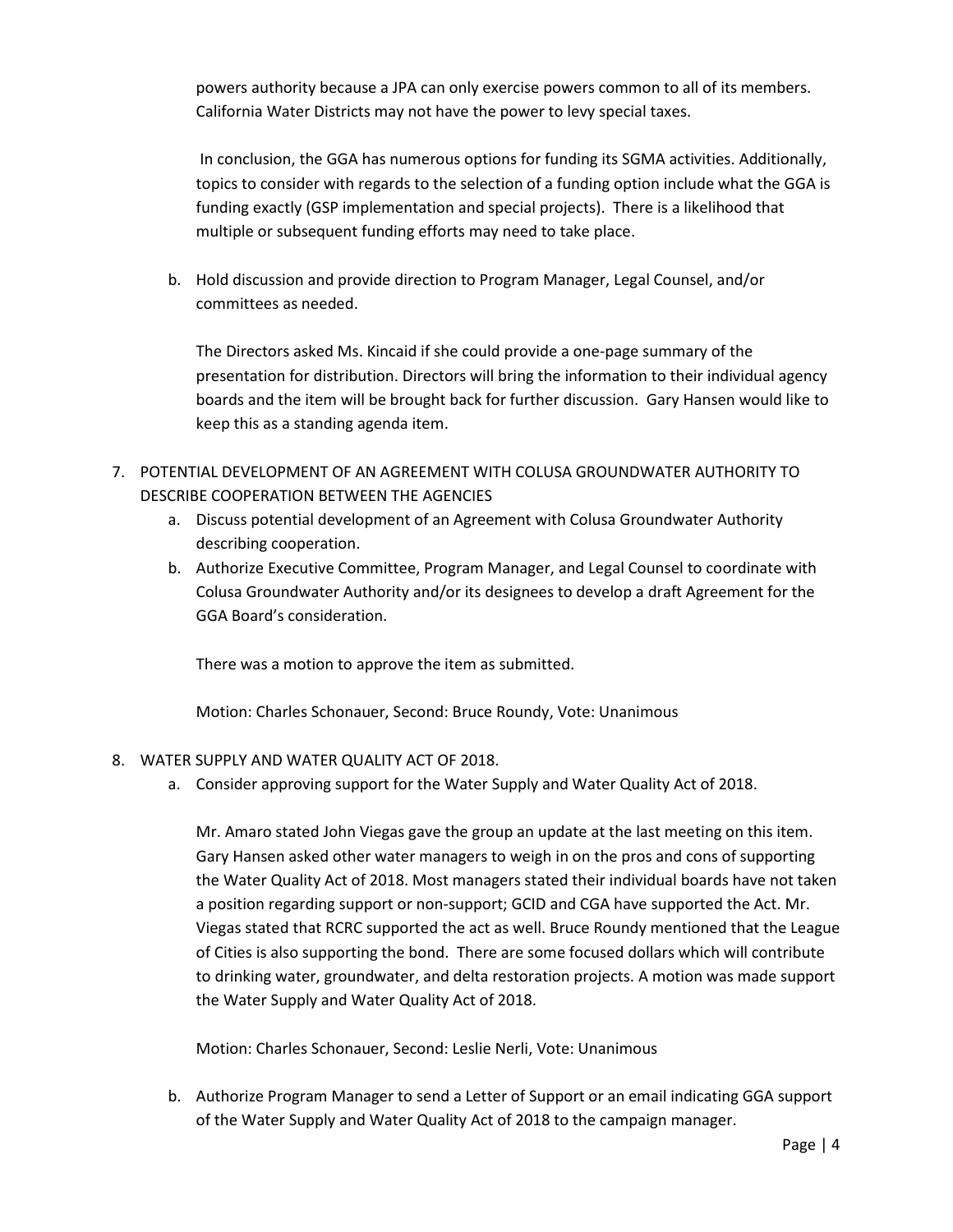powers authority because a JPA can only exercise powers common to all of its members. California Water Districts may not have the power to levy special taxes.

In conclusion, the GGA has numerous options for funding its SGMA activities. Additionally, topics to consider with regards to the selection of a funding option include what the GGA is funding exactly (GSP implementation and special projects). There is a likelihood that multiple or subsequent funding efforts may need to take place.

b. Hold discussion and provide direction to Program Manager, Legal Counsel, and/or committees as needed.

The Directors asked Ms. Kincaid if she could provide a one-page summary of the presentation for distribution. Directors will bring the information to their individual agency boards and the item will be brought back for further discussion. Gary Hansen would like to keep this as a standing agenda item.

- 7. POTENTIAL DEVELOPMENT OF AN AGREEMENT WITH COLUSA GROUNDWATER AUTHORITY TO DESCRIBE COOPERATION BETWEEN THE AGENCIES
	- a. Discuss potential development of an Agreement with Colusa Groundwater Authority describing cooperation.
	- b. Authorize Executive Committee, Program Manager, and Legal Counsel to coordinate with Colusa Groundwater Authority and/or its designees to develop a draft Agreement for the GGA Board's consideration.

There was a motion to approve the item as submitted.

Motion: Charles Schonauer, Second: Bruce Roundy, Vote: Unanimous

- 8. WATER SUPPLY AND WATER QUALITY ACT OF 2018.
	- a. Consider approving support for the Water Supply and Water Quality Act of 2018.

Mr. Amaro stated John Viegas gave the group an update at the last meeting on this item. Gary Hansen asked other water managers to weigh in on the pros and cons of supporting the Water Quality Act of 2018. Most managers stated their individual boards have not taken a position regarding support or non-support; GCID and CGA have supported the Act. Mr. Viegas stated that RCRC supported the act as well. Bruce Roundy mentioned that the League of Cities is also supporting the bond. There are some focused dollars which will contribute to drinking water, groundwater, and delta restoration projects. A motion was made support the Water Supply and Water Quality Act of 2018.

Motion: Charles Schonauer, Second: Leslie Nerli, Vote: Unanimous

b. Authorize Program Manager to send a Letter of Support or an email indicating GGA support of the Water Supply and Water Quality Act of 2018 to the campaign manager.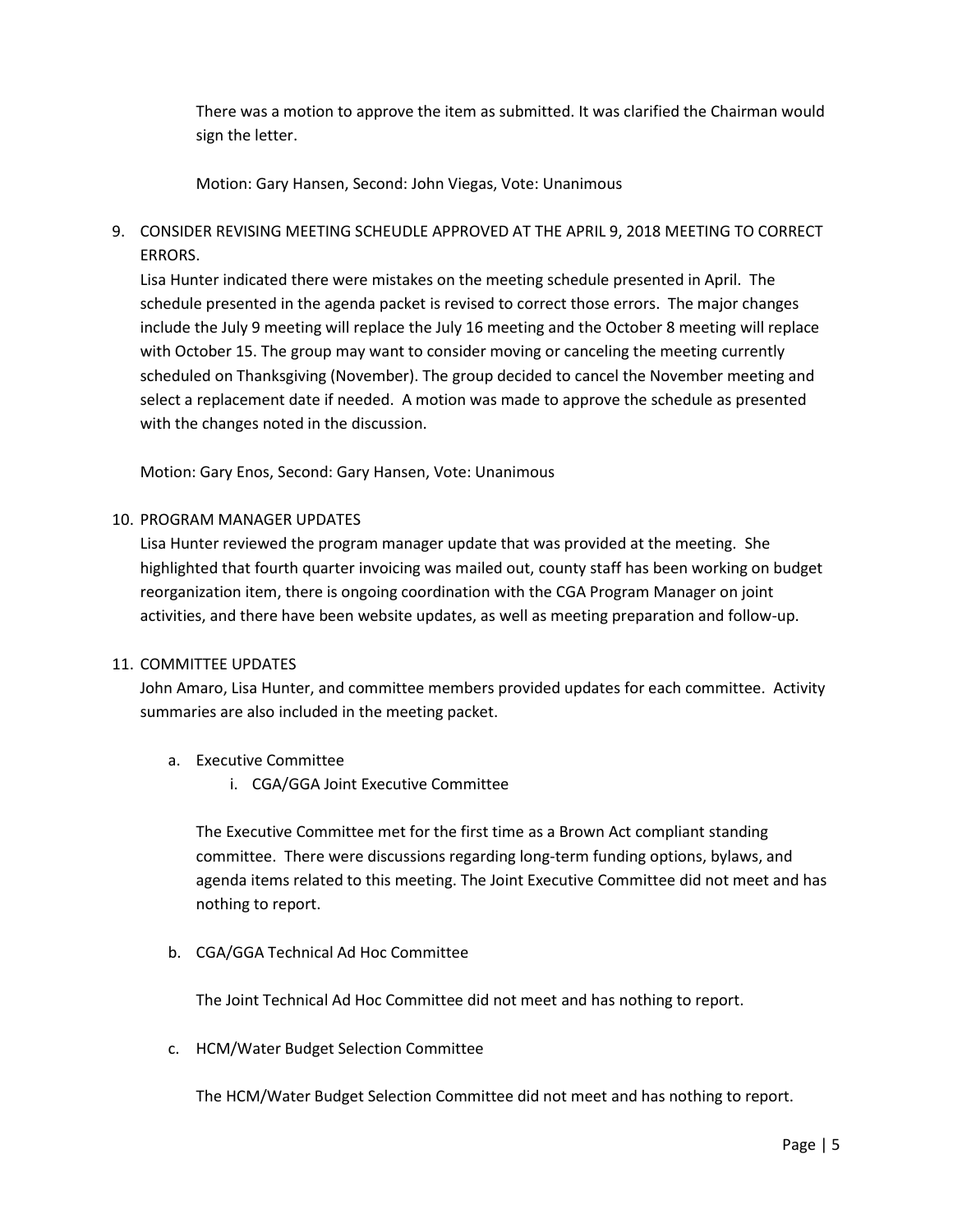There was a motion to approve the item as submitted. It was clarified the Chairman would sign the letter.

Motion: Gary Hansen, Second: John Viegas, Vote: Unanimous

9. CONSIDER REVISING MEETING SCHEUDLE APPROVED AT THE APRIL 9, 2018 MEETING TO CORRECT ERRORS.

Lisa Hunter indicated there were mistakes on the meeting schedule presented in April. The schedule presented in the agenda packet is revised to correct those errors. The major changes include the July 9 meeting will replace the July 16 meeting and the October 8 meeting will replace with October 15. The group may want to consider moving or canceling the meeting currently scheduled on Thanksgiving (November). The group decided to cancel the November meeting and select a replacement date if needed. A motion was made to approve the schedule as presented with the changes noted in the discussion.

Motion: Gary Enos, Second: Gary Hansen, Vote: Unanimous

#### 10. PROGRAM MANAGER UPDATES

Lisa Hunter reviewed the program manager update that was provided at the meeting. She highlighted that fourth quarter invoicing was mailed out, county staff has been working on budget reorganization item, there is ongoing coordination with the CGA Program Manager on joint activities, and there have been website updates, as well as meeting preparation and follow-up.

#### 11. COMMITTEE UPDATES

John Amaro, Lisa Hunter, and committee members provided updates for each committee. Activity summaries are also included in the meeting packet.

### a. Executive Committee

i. CGA/GGA Joint Executive Committee

The Executive Committee met for the first time as a Brown Act compliant standing committee. There were discussions regarding long-term funding options, bylaws, and agenda items related to this meeting. The Joint Executive Committee did not meet and has nothing to report.

b. CGA/GGA Technical Ad Hoc Committee

The Joint Technical Ad Hoc Committee did not meet and has nothing to report.

c. HCM/Water Budget Selection Committee

The HCM/Water Budget Selection Committee did not meet and has nothing to report.